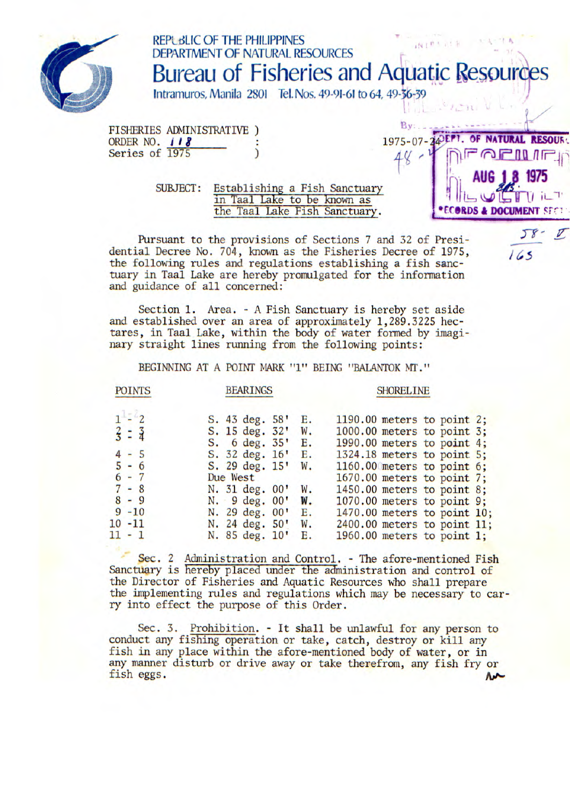

## REPL dLlC OF THE PHILIPPINES WIRKER DEPARTMENT OF NAFURAL RESOURCES Bureau of Fisheries and Aquatic Resources Intramuros, Manila 2801 Tel. Nos. 49-91-61 to 64, 49-36-39  $P_{\rm{UV}}$

**. AUG 18 1975** 

 $58 -$ 

 $165$ 

 $\mathcal{I}$ 

FISHERIES ADMINISTRATIVE ORDER NO. **118**<br>Series of 1975 <br>3. All resources of 1975 Series of 1975

> SUBJECT: Establishing a Fish Sanctuary in Taal Lake to be known as the Taal Lake Fish Sanctuary.<br>  $\bullet$  **ECORDS & DOCUMENT** SECT the Taal Lake Fish Sanctuary.

Pursuant to the provisions of Sections 7 and 32 of Presidential Decree No. 704, known as the Fisheries Decree of 1975, the following rules and regulations establishing a fish sanctuary in Taal Lake are hereby promulgated for the information and guidance of all concerned:

Section 1. Area. - A Fish Sanctuary is hereby set aside and established over an area of approximately 1,289.3225 hectares, in Taal Lake, within the body of water formed by imaginary straight lines running from the following points:

BEGINNING AT A POINT MARK "1" BEING "BALANTOK MT."

## POINTS BEARINGS SHORELINE

## 1 - 2 S. 43 deg. 58' E. 1190.00 meters to point 2;<br>  $\frac{2}{3}$  =  $\frac{3}{4}$  S. 15 deg. 32' W. 1000.00 meters to point 3; S. 15 deg. 32' W. 1000.00 meters to point 3;<br>S. 6 deg. 35' E. 1990.00 meters to point 4; 5. 6 deg. 35' E. 1990.00 meters to point 4;<br>- 5. 32 deg. 16' E. 1324.18 meters to point 5; 4 - 5 S. 32 deg. 16' E. 1324.18 meters to point 5; 5 - 6 5. 29 deg. 15' W. 1160.00 meters to point 6;<br>6 - 7 Due West 1670.00 meters to point 7; 6 - 7 Due West 1670.00 meters to point 7;<br>7 - 8 N. 31 deg. 00' W. 1450.00 meters to point 8; 7 - 8 N. 31 deg. 00' W. 1450.00 meters to point 8;<br>8 - 9 N. 9 deg. 00' W. 1070.00 meters to point 9;<br>9 -10 N. 29 deg. 00' E. 1470.00 meters to point 10<br>0 -11 N. 24 deg. 50' W. 2400.00 meters to point 11 8 - 9 N. 9 deg. 00' W. 1070.00 meters to point 9;<br>9 -10 N. 29 deg. 00' E. 1470.00 meters to point 10 9 -10 N. 29 deg. 00' E. 1470.00 meters to point 10;<br>10 -11 N. 24 deg. 50' W. 2400.00 meters to point 11; 10 -11 <br>
11 - 1 <br>
N. 85 deg. 10' E. 1960.00 meters to point 1;<br>
11 - 1 <br>
N. 85 deg. 10' E. 1960.00 meters to point 1;  $1960.00$  meters to point 1;

Sec. 2 Administration and Control. - The afore-mentioned Fish Sanctuary is hereby placed under the administration and control of the Director of Fisheries and Aquatic Resources who shall prepare the implementing rules and regulations which may be necessary to carry into effect the purpose of this Order.

Sec. 3. Prohibition. - It shall be unlawful for any person to conduct any fishing operation or take, catch, destroy or kill any fish in any place within the afore-mentioned body of water, or in any manner disturb or drive away or take therefrom, any fish fry or fish eggs.